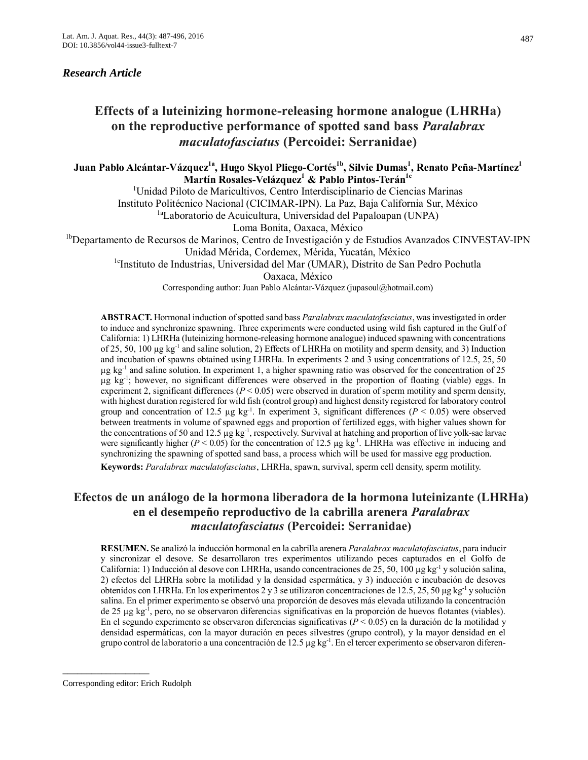## *Research Article*

# **Effects of a luteinizing hormone-releasing hormone analogue (LHRHa) on the reproductive performance of spotted sand bass** *Paralabrax maculatofasciatus* **(Percoidei: Serranidae)**

**Juan Pablo Alcántar-Vázquez1a, Hugo Skyol Pliego-Cortés1b, Silvie Dumas<sup>1</sup> , Renato Peña-Martínez<sup>1</sup> Martín Rosales-Velázquez<sup>1</sup> & Pablo Pintos-Terán1c**

<sup>1</sup>Unidad Piloto de Maricultivos, Centro Interdisciplinario de Ciencias Marinas Instituto Politécnico Nacional (CICIMAR-IPN). La Paz, Baja California Sur, México <sup>1a</sup>Laboratorio de Acuicultura, Universidad del Papaloapan (UNPA) Loma Bonita, Oaxaca, México

<sup>1b</sup>Departamento de Recursos de Marinos, Centro de Investigación y de Estudios Avanzados CINVESTAV-IPN

Unidad Mérida, Cordemex, Mérida, Yucatán, México

<sup>1c</sup>Instituto de Industrias, Universidad del Mar (UMAR), Distrito de San Pedro Pochutla

Oaxaca, México

Corresponding author: Juan Pablo Alcántar-Vázquez (jupasoul@hotmail.com)

**ABSTRACT.** Hormonal induction of spotted sand bass *Paralabrax maculatofasciatus*, was investigated in order to induce and synchronize spawning. Three experiments were conducted using wild fish captured in the Gulf of California: 1) LHRHa (luteinizing hormone-releasing hormone analogue) induced spawning with concentrations of 25, 50, 100 µg kg<sup>-1</sup> and saline solution, 2) Effects of LHRHa on motility and sperm density, and 3) Induction and incubation of spawns obtained using LHRHa. In experiments 2 and 3 using concentrations of 12.5, 25, 50 µg kg-1 and saline solution. In experiment 1, a higher spawning ratio was observed for the concentration of 25 µg kg-1 ; however, no significant differences were observed in the proportion of floating (viable) eggs. In experiment 2, significant differences ( $P < 0.05$ ) were observed in duration of sperm motility and sperm density, with highest duration registered for wild fish (control group) and highest density registered for laboratory control group and concentration of 12.5  $\mu$ g kg<sup>-1</sup>. In experiment 3, significant differences ( $P < 0.05$ ) were observed between treatments in volume of spawned eggs and proportion of fertilized eggs, with higher values shown for the concentrations of 50 and 12.5  $\mu$ g kg<sup>-1</sup>, respectively. Survival at hatching and proportion of live yolk-sac larvae were significantly higher ( $P < 0.05$ ) for the concentration of 12.5  $\mu$ g kg<sup>-1</sup>. LHRHa was effective in inducing and synchronizing the spawning of spotted sand bass, a process which will be used for massive egg production. **Keywords:** *Paralabrax maculatofasciatus*, LHRHa, spawn, survival, sperm cell density, sperm motility.

## **Efectos de un análogo de la hormona liberadora de la hormona luteinizante (LHRHa) en el desempeño reproductivo de la cabrilla arenera** *Paralabrax maculatofasciatus* **(Percoidei: Serranidae)**

**RESUMEN.** Se analizó la inducción hormonal en la cabrilla arenera *Paralabrax maculatofasciatus*, para inducir y sincronizar el desove. Se desarrollaron tres experimentos utilizando peces capturados en el Golfo de California: 1) Inducción al desove con LHRHa, usando concentraciones de 25, 50, 100 µg kg<sup>-1</sup> y solución salina, 2) efectos del LHRHa sobre la motilidad y la densidad espermática, y 3) inducción e incubación de desoves obtenidos con LHRHa. En los experimentos 2 y 3 se utilizaron concentraciones de 12.5, 25, 50 µg kg<sup>-1</sup> y solución salina. En el primer experimento se observó una proporción de desoves más elevada utilizando la concentración de 25 µg kg-1 , pero, no se observaron diferencias significativas en la proporción de huevos flotantes (viables). En el segundo experimento se observaron diferencias significativas (*P* < 0.05) en la duración de la motilidad y densidad espermáticas, con la mayor duración en peces silvestres (grupo control), y la mayor densidad en el grupo control de laboratorio a una concentración de 12.5  $\mu$ g kg<sup>-1</sup>. En el tercer experimento se observaron diferen-

\_\_\_\_\_\_\_\_\_\_\_\_\_\_\_\_\_\_

Corresponding editor: Erich Rudolph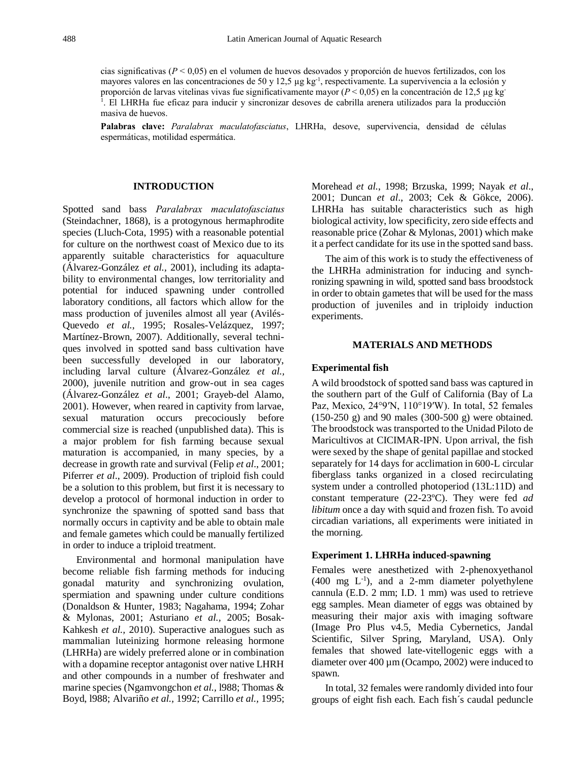cias significativas (*P* < 0,05) en el volumen de huevos desovados y proporción de huevos fertilizados, con los mayores valores en las concentraciones de 50 y 12,5  $\mu$ g kg<sup>-1</sup>, respectivamente. La supervivencia a la eclosión y proporción de larvas vitelinas vivas fue significativamente mayor (*P* < 0,05) en la concentración de 12,5 µg kg-1 . El LHRHa fue eficaz para inducir y sincronizar desoves de cabrilla arenera utilizados para la producción masiva de huevos.

**Palabras clave:** *Paralabrax maculatofasciatus*, LHRHa, desove, supervivencia, densidad de células espermáticas, motilidad espermática.

#### **INTRODUCTION**

Spotted sand bass *Paralabrax maculatofasciatus* (Steindachner, 1868), is a protogynous hermaphrodite species (Lluch-Cota, 1995) with a reasonable potential for culture on the northwest coast of Mexico due to its apparently suitable characteristics for aquaculture (Álvarez-González *et al.,* 2001), including its adaptability to environmental changes, low territoriality and potential for induced spawning under controlled laboratory conditions, all factors which allow for the mass production of juveniles almost all year (Avilés-Quevedo *et al.,* 1995; Rosales-Velázquez, 1997; Martínez-Brown, 2007). Additionally, several techniques involved in spotted sand bass cultivation have been successfully developed in our laboratory, including larval culture (Álvarez-González *et al.,* 2000), juvenile nutrition and grow-out in sea cages (Álvarez-González *et al*., 2001; Grayeb-del Alamo, 2001). However, when reared in captivity from larvae, sexual maturation occurs precociously before commercial size is reached (unpublished data). This is a major problem for fish farming because sexual maturation is accompanied, in many species, by a decrease in growth rate and survival (Felip *et al*., 2001; Piferrer *et al*., 2009). Production of triploid fish could be a solution to this problem, but first it is necessary to develop a protocol of hormonal induction in order to synchronize the spawning of spotted sand bass that normally occurs in captivity and be able to obtain male and female gametes which could be manually fertilized in order to induce a triploid treatment.

Environmental and hormonal manipulation have become reliable fish farming methods for inducing gonadal maturity and synchronizing ovulation, spermiation and spawning under culture conditions (Donaldson & Hunter, 1983; Nagahama, 1994; Zohar & Mylonas, 2001; Asturiano *et al.,* 2005; Bosak-Kahkesh *et al.,* 2010). Superactive analogues such as mammalian luteinizing hormone releasing hormone (LHRHa) are widely preferred alone or in combination with a dopamine receptor antagonist over native LHRH and other compounds in a number of freshwater and marine species (Ngamvongchon *et al.,* l988; Thomas & Boyd, l988; Alvariño *et al.,* 1992; Carrillo *et al.,* 1995; Morehead *et al.*, 1998; Brzuska, 1999; Nayak *et al*., 2001; Duncan *et al*., 2003; Cek & Gökce, 2006). LHRHa has suitable characteristics such as high biological activity, low specificity, zero side effects and reasonable price (Zohar & Mylonas, 2001) which make it a perfect candidate for its use in the spotted sand bass.

The aim of this work is to study the effectiveness of the LHRHa administration for inducing and synchronizing spawning in wild, spotted sand bass broodstock in order to obtain gametes that will be used for the mass production of juveniles and in triploidy induction experiments.

#### **MATERIALS AND METHODS**

#### **Experimental fish**

A wild broodstock of spotted sand bass was captured in the southern part of the Gulf of California (Bay of La Paz, Mexico, 24°9′N, 110°19′W). In total, 52 females (150-250 g) and 90 males (300-500 g) were obtained. The broodstock was transported to the Unidad Piloto de Maricultivos at CICIMAR-IPN. Upon arrival, the fish were sexed by the shape of genital papillae and stocked separately for 14 days for acclimation in 600-L circular fiberglass tanks organized in a closed recirculating system under a controlled photoperiod (13L:11D) and constant temperature (22-23ºC). They were fed *ad libitum* once a day with squid and frozen fish. To avoid circadian variations, all experiments were initiated in the morning.

## **Experiment 1. LHRHa induced-spawning**

Females were anesthetized with 2-phenoxyethanol  $(400 \text{ mg } L^{-1})$ , and a 2-mm diameter polyethylene cannula (E.D. 2 mm; I.D. 1 mm) was used to retrieve egg samples. Mean diameter of eggs was obtained by measuring their major axis with imaging software (Image Pro Plus v4.5, Media Cybernetics, Jandal Scientific, Silver Spring, Maryland, USA). Only females that showed late-vitellogenic eggs with a diameter over 400 µm (Ocampo, 2002) were induced to spawn.

In total, 32 females were randomly divided into four groups of eight fish each. Each fish´s caudal peduncle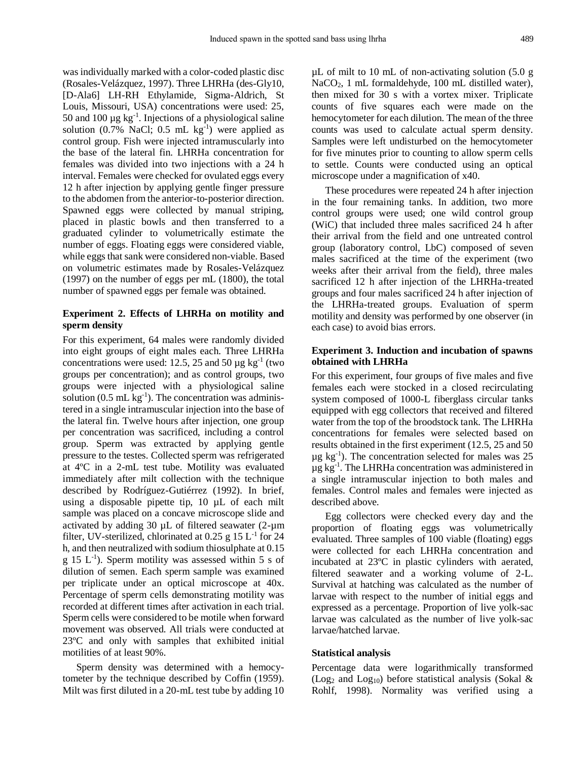was individually marked with a color-coded plastic disc (Rosales-Velázquez, 1997). Three LHRHa (des-Gly10, [D-Ala6] LH-RH Ethylamide, Sigma-Aldrich, St Louis, Missouri, USA) concentrations were used: 25, 50 and 100  $\mu$ g kg<sup>-1</sup>. Injections of a physiological saline solution  $(0.7\% \text{ NaCl}; 0.5 \text{ mL kg}^{-1})$  were applied as control group. Fish were injected intramuscularly into the base of the lateral fin. LHRHa concentration for females was divided into two injections with a 24 h interval. Females were checked for ovulated eggs every 12 h after injection by applying gentle finger pressure to the abdomen from the anterior-to-posterior direction. Spawned eggs were collected by manual striping, placed in plastic bowls and then transferred to a graduated cylinder to volumetrically estimate the number of eggs. Floating eggs were considered viable, while eggs that sank were considered non-viable. Based on volumetric estimates made by Rosales-Velázquez (1997) on the number of eggs per mL (1800), the total number of spawned eggs per female was obtained.

## **Experiment 2. Effects of LHRHa on motility and sperm density**

For this experiment, 64 males were randomly divided into eight groups of eight males each. Three LHRHa concentrations were used: 12.5, 25 and 50  $\mu$ g kg<sup>-1</sup> (two groups per concentration); and as control groups, two groups were injected with a physiological saline solution  $(0.5 \text{ mL kg}^{-1})$ . The concentration was administered in a single intramuscular injection into the base of the lateral fin. Twelve hours after injection, one group per concentration was sacrificed, including a control group. Sperm was extracted by applying gentle pressure to the testes. Collected sperm was refrigerated at 4ºC in a 2-mL test tube. Motility was evaluated immediately after milt collection with the technique described by Rodríguez-Gutiérrez (1992). In brief, using a disposable pipette tip, 10 µL of each milt sample was placed on a concave microscope slide and activated by adding 30  $\mu$ L of filtered seawater (2- $\mu$ m filter, UV-sterilized, chlorinated at  $0.25$  g  $15$  L<sup>-1</sup> for 24 h, and then neutralized with sodium thiosulphate at 0.15  $g$  15 L<sup>-1</sup>). Sperm motility was assessed within 5 s of dilution of semen. Each sperm sample was examined per triplicate under an optical microscope at 40x. Percentage of sperm cells demonstrating motility was recorded at different times after activation in each trial. Sperm cells were considered to be motile when forward movement was observed. All trials were conducted at 23ºC and only with samples that exhibited initial motilities of at least 90%.

Sperm density was determined with a hemocytometer by the technique described by Coffin (1959). Milt was first diluted in a 20-mL test tube by adding 10 µL of milt to 10 mL of non-activating solution (5.0 g NaCO2, 1 mL formaldehyde, 100 mL distilled water), then mixed for 30 s with a vortex mixer. Triplicate counts of five squares each were made on the hemocytometer for each dilution. The mean of the three counts was used to calculate actual sperm density. Samples were left undisturbed on the hemocytometer for five minutes prior to counting to allow sperm cells to settle. Counts were conducted using an optical microscope under a magnification of x40.

These procedures were repeated 24 h after injection in the four remaining tanks. In addition, two more control groups were used; one wild control group (WiC) that included three males sacrificed 24 h after their arrival from the field and one untreated control group (laboratory control, LbC) composed of seven males sacrificed at the time of the experiment (two weeks after their arrival from the field), three males sacrificed 12 h after injection of the LHRHa-treated groups and four males sacrificed 24 h after injection of the LHRHa-treated groups. Evaluation of sperm motility and density was performed by one observer (in each case) to avoid bias errors.

## **Experiment 3. Induction and incubation of spawns obtained with LHRHa**

For this experiment, four groups of five males and five females each were stocked in a closed recirculating system composed of 1000-L fiberglass circular tanks equipped with egg collectors that received and filtered water from the top of the broodstock tank. The LHRHa concentrations for females were selected based on results obtained in the first experiment (12.5, 25 and 50  $\mu$ g kg<sup>-1</sup>). The concentration selected for males was 25  $\mu$ g kg<sup>-1</sup>. The LHRHa concentration was administered in a single intramuscular injection to both males and females. Control males and females were injected as described above.

Egg collectors were checked every day and the proportion of floating eggs was volumetrically evaluated. Three samples of 100 viable (floating) eggs were collected for each LHRHa concentration and incubated at 23ºC in plastic cylinders with aerated, filtered seawater and a working volume of 2-L. Survival at hatching was calculated as the number of larvae with respect to the number of initial eggs and expressed as a percentage. Proportion of live yolk-sac larvae was calculated as the number of live yolk-sac larvae/hatched larvae.

#### **Statistical analysis**

Percentage data were logarithmically transformed (Log<sub>2</sub> and Log<sub>10</sub>) before statistical analysis (Sokal & Rohlf, 1998). Normality was verified using a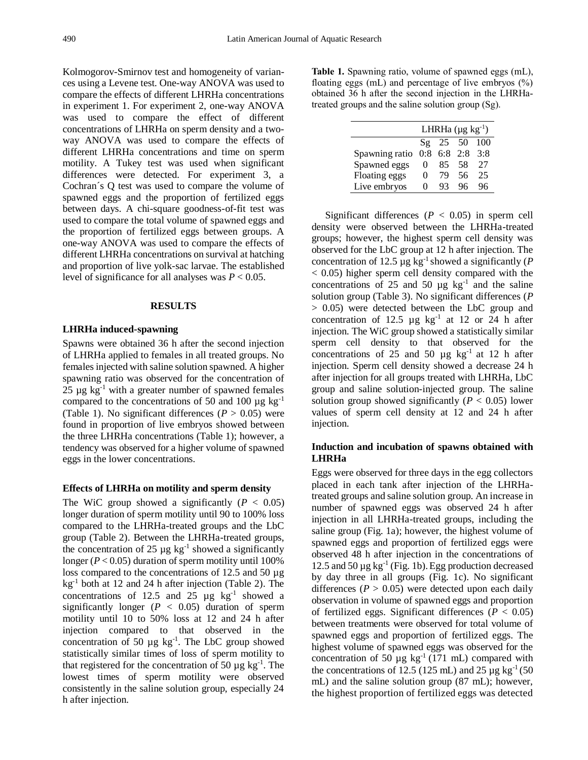Kolmogorov-Smirnov test and homogeneity of variances using a Levene test. One-way ANOVA was used to compare the effects of different LHRHa concentrations in experiment 1. For experiment 2, one-way ANOVA was used to compare the effect of different concentrations of LHRHa on sperm density and a twoway ANOVA was used to compare the effects of different LHRHa concentrations and time on sperm motility. A Tukey test was used when significant differences were detected. For experiment 3, a Cochran´s Q test was used to compare the volume of spawned eggs and the proportion of fertilized eggs between days. A chi-square goodness-of-fit test was used to compare the total volume of spawned eggs and the proportion of fertilized eggs between groups. A one-way ANOVA was used to compare the effects of different LHRHa concentrations on survival at hatching and proportion of live yolk-sac larvae. The established level of significance for all analyses was *P* < 0.05.

## **RESULTS**

#### **LHRHa induced-spawning**

Spawns were obtained 36 h after the second injection of LHRHa applied to females in all treated groups. No females injected with saline solution spawned. A higher spawning ratio was observed for the concentration of 25  $\mu$ g kg<sup>-1</sup> with a greater number of spawned females compared to the concentrations of 50 and 100  $\mu$ g kg<sup>-1</sup> (Table 1). No significant differences ( $P > 0.05$ ) were found in proportion of live embryos showed between the three LHRHa concentrations (Table 1); however, a tendency was observed for a higher volume of spawned eggs in the lower concentrations.

#### **Effects of LHRHa on motility and sperm density**

The WiC group showed a significantly  $(P < 0.05)$ longer duration of sperm motility until 90 to 100% loss compared to the LHRHa-treated groups and the LbC group (Table 2). Between the LHRHa-treated groups, the concentration of 25  $\mu$ g kg<sup>-1</sup> showed a significantly longer ( $P < 0.05$ ) duration of sperm motility until 100% loss compared to the concentrations of 12.5 and 50 µg kg<sup>-1</sup> both at 12 and 24 h after injection (Table 2). The concentrations of 12.5 and 25  $\mu$ g kg<sup>-1</sup> showed a significantly longer  $(P < 0.05)$  duration of sperm motility until 10 to 50% loss at 12 and 24 h after injection compared to that observed in the concentration of 50  $\mu$ g kg<sup>-1</sup>. The LbC group showed statistically similar times of loss of sperm motility to that registered for the concentration of 50  $\mu$ g kg<sup>-1</sup>. The lowest times of sperm motility were observed consistently in the saline solution group, especially 24 h after injection.

**Table 1.** Spawning ratio, volume of spawned eggs (mL), floating eggs (mL) and percentage of live embryos  $(\%)$ obtained 36 h after the second injection in the LHRHatreated groups and the saline solution group (Sg).

|                | LHRHa $(\mu g \ kg^{-1})$ |            |                   |       |  |  |  |
|----------------|---------------------------|------------|-------------------|-------|--|--|--|
|                |                           | $Sg$ 25 50 |                   | - 100 |  |  |  |
| Spawning ratio |                           |            | $0:8$ 6:8 2:8 3:8 |       |  |  |  |
| Spawned eggs   | $\mathbf{0}$              | 85         | .58               | 27    |  |  |  |
| Floating eggs  | $\mathbf{\Omega}$         | 79         | 56                | 25    |  |  |  |
| Live embryos   | 0                         | 93         |                   | 96    |  |  |  |

Significant differences ( $P < 0.05$ ) in sperm cell density were observed between the LHRHa-treated groups; however, the highest sperm cell density was observed for the LbC group at 12 h after injection. The concentration of 12.5  $\mu$ g kg<sup>-1</sup> showed a significantly (*P* < 0.05) higher sperm cell density compared with the concentrations of 25 and 50  $\mu$ g kg<sup>-1</sup> and the saline solution group (Table 3). No significant differences (*P* > 0.05) were detected between the LbC group and concentration of 12.5  $\mu$ g kg<sup>-1</sup> at 12 or 24 h after injection. The WiC group showed a statistically similar sperm cell density to that observed for the concentrations of  $25$  and  $50 \mu g$  kg<sup>-1</sup> at 12 h after injection. Sperm cell density showed a decrease 24 h after injection for all groups treated with LHRHa, LbC group and saline solution-injected group. The saline solution group showed significantly ( $P < 0.05$ ) lower values of sperm cell density at 12 and 24 h after injection.

## **Induction and incubation of spawns obtained with LHRHa**

Eggs were observed for three days in the egg collectors placed in each tank after injection of the LHRHatreated groups and saline solution group. An increase in number of spawned eggs was observed 24 h after injection in all LHRHa-treated groups, including the saline group (Fig. 1a); however, the highest volume of spawned eggs and proportion of fertilized eggs were observed 48 h after injection in the concentrations of 12.5 and 50  $\mu$ g kg<sup>-1</sup> (Fig. 1b). Egg production decreased by day three in all groups (Fig. 1c). No significant differences  $(P > 0.05)$  were detected upon each daily observation in volume of spawned eggs and proportion of fertilized eggs. Significant differences ( $P < 0.05$ ) between treatments were observed for total volume of spawned eggs and proportion of fertilized eggs. The highest volume of spawned eggs was observed for the concentration of 50  $\mu$ g kg<sup>-1</sup> (171 mL) compared with the concentrations of 12.5 (125 mL) and 25  $\mu$ g kg<sup>-1</sup> (50) mL) and the saline solution group (87 mL); however, the highest proportion of fertilized eggs was detected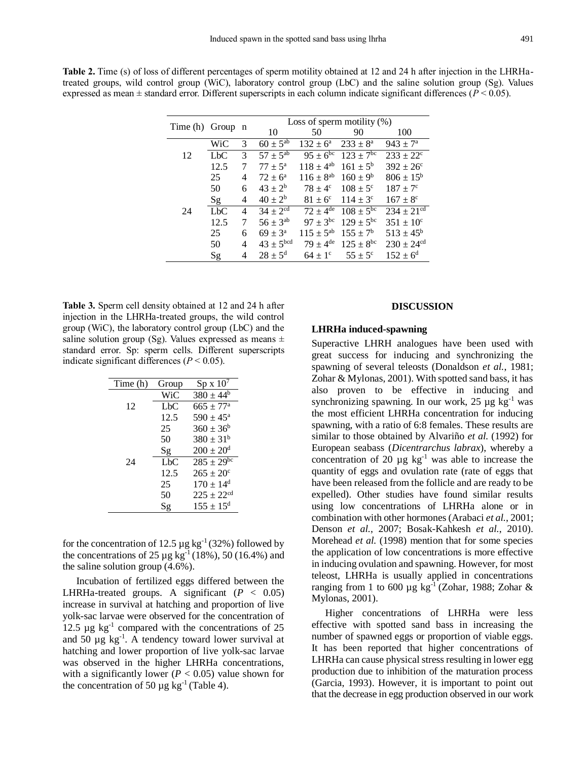|  |  |  | Table 2. Time (s) of loss of different percentages of sperm motility obtained at 12 and 24 h after injection in the LHRHa-     |  |  |  |  |  |
|--|--|--|--------------------------------------------------------------------------------------------------------------------------------|--|--|--|--|--|
|  |  |  | treated groups, wild control group (WiC), laboratory control group (LbC) and the saline solution group (Sg). Values            |  |  |  |  |  |
|  |  |  | expressed as mean $\pm$ standard error. Different superscripts in each column indicate significant differences ( $P < 0.05$ ). |  |  |  |  |  |

|                  |                  |                | Loss of sperm motility $(\%)$     |                            |                     |                            |  |  |
|------------------|------------------|----------------|-----------------------------------|----------------------------|---------------------|----------------------------|--|--|
| Time (h) Group n |                  |                | 10                                | 50                         | 90                  | 100                        |  |  |
|                  | WiC              | 3              | $60 \pm 5^{a\overline{b}}$        | $132 \pm 6^{\rm a}$        | $233 \pm 8^a$       | $943 \pm 7^{\rm a}$        |  |  |
| 12               | L <sub>b</sub> C | 3              | $57 \pm 5^{ab}$                   | $95 \pm 6^{\overline{bc}}$ | $123 \pm 7^{6c}$    | $233 + 22^{\circ}$         |  |  |
|                  | 12.5             | 7              | $77 \pm 5^{\rm a}$                | $118 \pm 4^{ab}$           | $161 \pm 5^{\rm b}$ | $392 \pm 26^{\circ}$       |  |  |
|                  | 25               | 4              | $72 \pm 6^{\circ}$                | $116 \pm 8^{ab}$           | $160 \pm 9^b$       | $806 \pm 15^b$             |  |  |
|                  | 50               | 6              | $43 \pm 2^b$                      | $78 \pm 4^{\circ}$         | $108 \pm 5^{\circ}$ | $187 + 7^{\circ}$          |  |  |
|                  | Sg               | 4              | $40 \pm 2^{b}$                    | $81 + 6^{\circ}$           | $114 \pm 3^{\circ}$ | $167 \pm 8^{\circ}$        |  |  |
| 24               | $Lb$ C           | $\overline{4}$ | $34 \pm 2^{\overline{\text{cd}}}$ | $72 \pm 4^{\text{de}}$     | $108 \pm 5^{bc}$    | $234 \pm 21$ <sup>cd</sup> |  |  |
|                  | 12.5             | 7              | $56 \pm 3^{ab}$                   | $97 \pm 3^{bc}$            | $129 \pm 5^{bc}$    | $351 \pm 10^{\circ}$       |  |  |
|                  | 25               | 6              | $69 \pm 3^{\rm a}$                | $115 \pm 5^{ab}$           | $155 \pm 7^{\rm b}$ | $513 \pm 45^{\rm b}$       |  |  |
|                  | 50               | 4              | $43 \pm 5^{bcd}$                  | $79 \pm 4^{\text{de}}$     | $125 \pm 8^{bc}$    | $230 \pm 24$ <sup>cd</sup> |  |  |
|                  | Sg               | 4              | $28 \pm 5^{\rm d}$                | $64 \pm 1$ <sup>c</sup>    | $55 \pm 5^{\circ}$  | $152 \pm 6^{\rm d}$        |  |  |

**Table 3.** Sperm cell density obtained at 12 and 24 h after injection in the LHRHa-treated groups, the wild control group (WiC), the laboratory control group (LbC) and the saline solution group (Sg). Values expressed as means  $\pm$ standard error. Sp: sperm cells. Different superscripts indicate significant differences  $(P < 0.05)$ .

| Time (h) | Group            | $Sp x 10^7$               |
|----------|------------------|---------------------------|
|          | WiC              | $380 \pm 44^{\rm b}$      |
| 12       | L <sub>b</sub> C | $665 \pm 77$ <sup>a</sup> |
|          | 12.5             | $590 \pm 45^{\circ}$      |
|          | 25               | $360 \pm 36^{\circ}$      |
|          | 50               | $380 \pm 31^{\rm b}$      |
|          | Sg               | $200 \pm 20^{\rm d}$      |
| 24       | $Lb$ C           | $285 \pm 29^{10}$         |
|          | 12.5             | $265 \pm 20^{\circ}$      |
|          | 25               | $170 \pm 14^d$            |
|          | 50               | $225 + 22$ <sup>cd</sup>  |
|          | Sg               | $155 \pm 15^{\rm d}$      |

for the concentration of 12.5  $\mu$ g kg<sup>-1</sup> (32%) followed by the concentrations of  $25 \mu g$  kg<sup>-1</sup> (18%), 50 (16.4%) and the saline solution group (4.6%).

Incubation of fertilized eggs differed between the LHRHa-treated groups. A significant  $(P < 0.05)$ increase in survival at hatching and proportion of live yolk-sac larvae were observed for the concentration of 12.5  $\mu$ g kg<sup>-1</sup> compared with the concentrations of 25 and  $50 \mu g$  kg<sup>-1</sup>. A tendency toward lower survival at hatching and lower proportion of live yolk-sac larvae was observed in the higher LHRHa concentrations, with a significantly lower ( $P < 0.05$ ) value shown for the concentration of 50  $\mu$ g kg<sup>-1</sup> (Table 4).

## **DISCUSSION**

#### **LHRHa induced-spawning**

Superactive LHRH analogues have been used with great success for inducing and synchronizing the spawning of several teleosts (Donaldson *et al.*, 1981; Zohar & Mylonas, 2001). With spotted sand bass, it has also proven to be effective in inducing and synchronizing spawning. In our work,  $25 \mu g \text{ kg}^{-1}$  was the most efficient LHRHa concentration for inducing spawning, with a ratio of 6:8 females. These results are similar to those obtained by Alvariño *et al.* (1992) for European seabass (*Dicentrarchus labrax*), whereby a concentration of 20  $\mu$ g kg<sup>-1</sup> was able to increase the quantity of eggs and ovulation rate (rate of eggs that have been released from the follicle and are ready to be expelled). Other studies have found similar results using low concentrations of LHRHa alone or in combination with other hormones (Arabaci *et al.*, 2001; Denson *et al.*, 2007; Bosak-Kahkesh *et al.*, 2010). Morehead *et al.* (1998) mention that for some species the application of low concentrations is more effective in inducing ovulation and spawning. However, for most teleost, LHRHa is usually applied in concentrations ranging from 1 to 600 µg kg<sup>-1</sup> (Zohar, 1988; Zohar & Mylonas, 2001).

Higher concentrations of LHRHa were less effective with spotted sand bass in increasing the number of spawned eggs or proportion of viable eggs. It has been reported that higher concentrations of LHRHa can cause physical stress resulting in lower egg production due to inhibition of the maturation process (Garcia, 1993). However, it is important to point out that the decrease in egg production observed in our work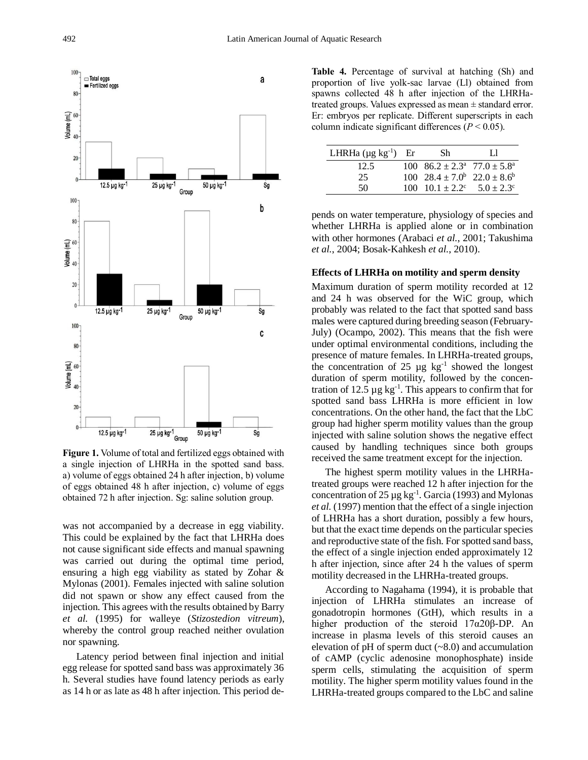

**Figure 1.** Volume of total and fertilized eggs obtained with a single injection of LHRHa in the spotted sand bass. a) volume of eggs obtained 24 h after injection, b) volume of eggs obtained 48 h after injection, c) volume of eggs obtained 72 h after injection. Sg: saline solution group.

was not accompanied by a decrease in egg viability. This could be explained by the fact that LHRHa does not cause significant side effects and manual spawning was carried out during the optimal time period, ensuring a high egg viability as stated by Zohar & Mylonas (2001). Females injected with saline solution did not spawn or show any effect caused from the injection. This agrees with the results obtained by Barry *et al.* (1995) for walleye (*Stizostedion vitreum*), whereby the control group reached neither ovulation nor spawning.

Latency period between final injection and initial egg release for spotted sand bass was approximately 36 h. Several studies have found latency periods as early as 14 h or as late as 48 h after injection. This period de**Table 4.** Percentage of survival at hatching (Sh) and proportion of live yolk-sac larvae (Ll) obtained from spawns collected 48 h after injection of the LHRHatreated groups. Values expressed as mean ± standard error. Er: embryos per replicate. Different superscripts in each column indicate significant differences  $(P < 0.05)$ .

| LHRHa $(\mu g kg^{-1})$ Er | -Sh                                               | H |
|----------------------------|---------------------------------------------------|---|
| 12.5                       | 100 $86.2 \pm 2.3^{\circ}$ 77.0 $\pm 5.8^{\circ}$ |   |
| 25                         | 100 $28.4 \pm 7.0^b$ $22.0 \pm 8.6^b$             |   |
| 50                         | 100 $10.1 \pm 2.2^{\circ}$ $5.0 \pm 2.3^{\circ}$  |   |

pends on water temperature, physiology of species and whether LHRHa is applied alone or in combination with other hormones (Arabaci *et al.*, 2001; Takushima *et al.*, 2004; Bosak-Kahkesh *et al.*, 2010).

#### **Effects of LHRHa on motility and sperm density**

Maximum duration of sperm motility recorded at 12 and 24 h was observed for the WiC group, which probably was related to the fact that spotted sand bass males were captured during breeding season (February-July) (Ocampo, 2002). This means that the fish were under optimal environmental conditions, including the presence of mature females. In LHRHa-treated groups, the concentration of  $25 \mu g$  kg<sup>-1</sup> showed the longest duration of sperm motility, followed by the concentration of 12.5  $\mu$ g kg<sup>-1</sup>. This appears to confirm that for spotted sand bass LHRHa is more efficient in low concentrations. On the other hand, the fact that the LbC group had higher sperm motility values than the group injected with saline solution shows the negative effect caused by handling techniques since both groups received the same treatment except for the injection.

The highest sperm motility values in the LHRHatreated groups were reached 12 h after injection for the concentration of 25  $\mu$ g kg<sup>-1</sup>. Garcia (1993) and Mylonas *et al.* (1997) mention that the effect of a single injection of LHRHa has a short duration, possibly a few hours, but that the exact time depends on the particular species and reproductive state of the fish. For spotted sand bass, the effect of a single injection ended approximately 12 h after injection, since after 24 h the values of sperm motility decreased in the LHRHa-treated groups.

According to Nagahama (1994), it is probable that injection of LHRHa stimulates an increase of gonadotropin hormones (GtH), which results in a higher production of the steroid 17α20β-DP. An increase in plasma levels of this steroid causes an elevation of  $pH$  of sperm duct  $(\sim 8.0)$  and accumulation of cAMP (cyclic adenosine monophosphate) inside sperm cells, stimulating the acquisition of sperm motility. The higher sperm motility values found in the LHRHa-treated groups compared to the LbC and saline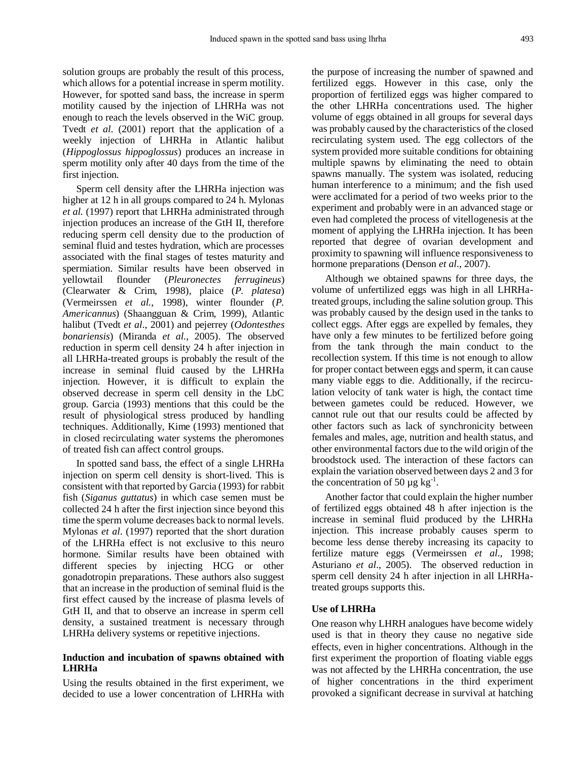solution groups are probably the result of this process, which allows for a potential increase in sperm motility. However, for spotted sand bass, the increase in sperm motility caused by the injection of LHRHa was not enough to reach the levels observed in the WiC group. Tvedt *et al*. (2001) report that the application of a weekly injection of LHRHa in Atlantic halibut (*Hippoglossus hippoglossus*) produces an increase in sperm motility only after 40 days from the time of the first injection.

Sperm cell density after the LHRHa injection was higher at 12 h in all groups compared to 24 h. Mylonas *et al.* (1997) report that LHRHa administrated through injection produces an increase of the GtH II, therefore reducing sperm cell density due to the production of seminal fluid and testes hydration, which are processes associated with the final stages of testes maturity and spermiation. Similar results have been observed in yellowtail flounder (*Pleuronectes ferrugineus*) (Clearwater & Crim, 1998), plaice (*P. platesa*) (Vermeirssen *et al.*, 1998), winter flounder (*P. Americannus*) (Shaangguan & Crim, 1999), Atlantic halibut (Tvedt *et al*., 2001) and pejerrey (*Odontesthes bonariensis*) (Miranda *et al.*, 2005). The observed reduction in sperm cell density 24 h after injection in all LHRHa-treated groups is probably the result of the increase in seminal fluid caused by the LHRHa injection. However, it is difficult to explain the observed decrease in sperm cell density in the LbC group. Garcia (1993) mentions that this could be the result of physiological stress produced by handling techniques. Additionally, Kime (1993) mentioned that in closed recirculating water systems the pheromones of treated fish can affect control groups.

In spotted sand bass, the effect of a single LHRHa injection on sperm cell density is short-lived. This is consistent with that reported by Garcia (1993) for rabbit fish (*Siganus guttatus*) in which case semen must be collected 24 h after the first injection since beyond this time the sperm volume decreases back to normal levels. Mylonas *et al*. (1997) reported that the short duration of the LHRHa effect is not exclusive to this neuro hormone. Similar results have been obtained with different species by injecting HCG or other gonadotropin preparations. These authors also suggest that an increase in the production of seminal fluid is the first effect caused by the increase of plasma levels of GtH II, and that to observe an increase in sperm cell density, a sustained treatment is necessary through LHRHa delivery systems or repetitive injections.

## **Induction and incubation of spawns obtained with LHRHa**

Using the results obtained in the first experiment, we decided to use a lower concentration of LHRHa with the purpose of increasing the number of spawned and fertilized eggs. However in this case, only the proportion of fertilized eggs was higher compared to the other LHRHa concentrations used. The higher volume of eggs obtained in all groups for several days was probably caused by the characteristics of the closed recirculating system used. The egg collectors of the system provided more suitable conditions for obtaining multiple spawns by eliminating the need to obtain spawns manually. The system was isolated, reducing human interference to a minimum; and the fish used were acclimated for a period of two weeks prior to the experiment and probably were in an advanced stage or even had completed the process of vitellogenesis at the moment of applying the LHRHa injection. It has been reported that degree of ovarian development and proximity to spawning will influence responsiveness to hormone preparations (Denson *et al*., 2007).

Although we obtained spawns for three days, the volume of unfertilized eggs was high in all LHRHatreated groups, including the saline solution group. This was probably caused by the design used in the tanks to collect eggs. After eggs are expelled by females, they have only a few minutes to be fertilized before going from the tank through the main conduct to the recollection system. If this time is not enough to allow for proper contact between eggs and sperm, it can cause many viable eggs to die. Additionally, if the recirculation velocity of tank water is high, the contact time between gametes could be reduced. However, we cannot rule out that our results could be affected by other factors such as lack of synchronicity between females and males, age, nutrition and health status, and other environmental factors due to the wild origin of the broodstock used. The interaction of these factors can explain the variation observed between days 2 and 3 for the concentration of 50  $\mu$ g kg<sup>-1</sup>.

Another factor that could explain the higher number of fertilized eggs obtained 48 h after injection is the increase in seminal fluid produced by the LHRHa injection. This increase probably causes sperm to become less dense thereby increasing its capacity to fertilize mature eggs (Vermeirssen *et al*., 1998; Asturiano *et al*., 2005). The observed reduction in sperm cell density 24 h after injection in all LHRHatreated groups supports this.

## **Use of LHRHa**

One reason why LHRH analogues have become widely used is that in theory they cause no negative side effects, even in higher concentrations. Although in the first experiment the proportion of floating viable eggs was not affected by the LHRHa concentration, the use of higher concentrations in the third experiment provoked a significant decrease in survival at hatching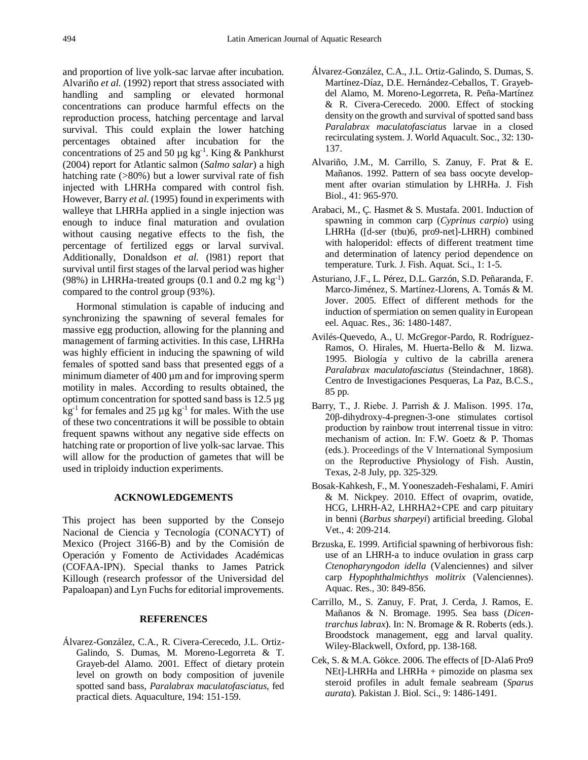and proportion of live yolk-sac larvae after incubation. Alvariño *et al.* (1992) report that stress associated with handling and sampling or elevated hormonal concentrations can produce harmful effects on the reproduction process, hatching percentage and larval survival. This could explain the lower hatching percentages obtained after incubation for the concentrations of 25 and 50  $\mu$ g kg<sup>-1</sup>. King & Pankhurst (2004) report for Atlantic salmon (*Salmo salar*) a high hatching rate (>80%) but a lower survival rate of fish injected with LHRHa compared with control fish. However, Barry *et al.* (1995) found in experiments with walleye that LHRHa applied in a single injection was enough to induce final maturation and ovulation without causing negative effects to the fish, the percentage of fertilized eggs or larval survival. Additionally, Donaldson et al. (1981) report that survival until first stages of the larval period was higher (98%) in LHRHa-treated groups  $(0.1 \text{ and } 0.2 \text{ mg kg}^{-1})$ compared to the control group (93%).

Hormonal stimulation is capable of inducing and synchronizing the spawning of several females for massive egg production, allowing for the planning and management of farming activities. In this case, LHRHa was highly efficient in inducing the spawning of wild females of spotted sand bass that presented eggs of a minimum diameter of 400  $\mu$ m and for improving sperm motility in males. According to results obtained, the optimum concentration for spotted sand bass is 12.5 µg  $kg^{-1}$  for females and 25  $\mu$ g kg<sup>-1</sup> for males. With the use of these two concentrations it will be possible to obtain frequent spawns without any negative side effects on hatching rate or proportion of live yolk-sac larvae. This will allow for the production of gametes that will be used in triploidy induction experiments.

## **ACKNOWLEDGEMENTS**

This project has been supported by the Consejo Nacional de Ciencia y Tecnología (CONACYT) of Mexico (Project 3166-B) and by the Comisión de Operación y Fomento de Actividades Académicas (COFAA-IPN). Special thanks to James Patrick Killough (research professor of the Universidad del Papaloapan) and Lyn Fuchs for editorial improvements.

#### **REFERENCES**

Álvarez-González, C.A., R. Civera-Cerecedo, J.L. Ortiz-Galindo, S. Dumas, M. Moreno-Legorreta & T. Grayeb-del Alamo. 2001. Effect of dietary protein level on growth on body composition of juvenile spotted sand bass, *Paralabrax maculatofasciatus*, fed practical diets. Aquaculture, 194: 151-159.

- Álvarez-González, C.A., J.L. Ortiz-Galindo, S. Dumas, S. Martínez-Díaz, D.E. Hernández-Ceballos, T. Grayebdel Alamo, M. Moreno-Legorreta, R. Peña-Martínez & R. Civera-Cerecedo. 2000. Effect of stocking density on the growth and survival of spotted sand bass *Paralabrax maculatofasciatus* larvae in a closed recirculating system. J. World Aquacult. Soc., 32: 130- 137.
- Alvariño, J.M., M. Carrillo, S. Zanuy, F. Prat & E. Mañanos. 1992. Pattern of sea bass oocyte development after ovarian stimulation by LHRHa. J. Fish Biol., 41: 965-970.
- Arabaci, M., Ç. Hasmet & S. Mustafa. 2001. Induction of spawning in common carp (*Cyprinus carpio*) using LHRHa ([d-ser (tbu)6, pro9-net]-LHRH) combined with haloperidol: effects of different treatment time and determination of latency period dependence on temperature. Turk. J. Fish. Aquat. Sci., 1: 1-5.
- Asturiano, J.F., L. Pérez, D.L. Garzón, S.D. Peñaranda, F. Marco-Jiménez, S. Martínez-Llorens, A. Tomás & M. Jover. 2005. Effect of different methods for the induction of spermiation on semen quality in European eel. Aquac. Res., 36: 1480-1487.
- Avilés-Quevedo, A., U. McGregor-Pardo, R. Rodríguez-Ramos, O. Hirales, M. Huerta-Bello & M. Iizwa. 1995. Biología y cultivo de la cabrilla arenera *Paralabrax maculatofasciatus* (Steindachner, 1868). Centro de Investigaciones Pesqueras, La Paz, B.C.S., 85 pp.
- Barry, T., J. Riebe. J. Parrish & J. Malison. 1995. 17α, 20β-dihydroxy-4-pregnen-3-one stimulates cortisol production by rainbow trout interrenal tissue in vitro: mechanism of action. In: F.W. Goetz & P. Thomas (eds.). Proceedings of the V International Symposium on the Reproductive Physiology of Fish. Austin, Texas, 2-8 July, pp. 325-329.
- Bosak-Kahkesh, F., M. Yooneszadeh-Feshalami, F. Amiri & M. Nickpey. 2010. Effect of ovaprim, ovatide, HCG, LHRH-A2, LHRHA2+CPE and carp pituitary in benni (*Barbus sharpeyi*) artificial breeding. Global Vet., 4: 209-214.
- Brzuska, E. 1999. Artificial spawning of herbivorous fish: use of an LHRH-a to induce ovulation in grass carp *Ctenopharyngodon idella* (Valenciennes) and silver carp *Hypophthalmichthys molitrix* (Valenciennes). Aquac. Res., 30: 849-856.
- Carrillo, M., S. Zanuy, F. Prat, J. Cerda, J. Ramos, E. Mañanos & N. Bromage. 1995. Sea bass (*Dicentrarchus labrax*). In: N. Bromage & R. Roberts (eds.). Broodstock management, egg and larval quality. Wiley-Blackwell, Oxford, pp. 138-168.
- Cek, S. & M.A. Gökce. 2006. The effects of [D-Ala6 Pro9 NEt]-LHRHa and LHRHa + pimozide on plasma sex steroid profiles in adult female seabream (*Sparus aurata*). Pakistan J. Biol. Sci., 9: 1486-1491.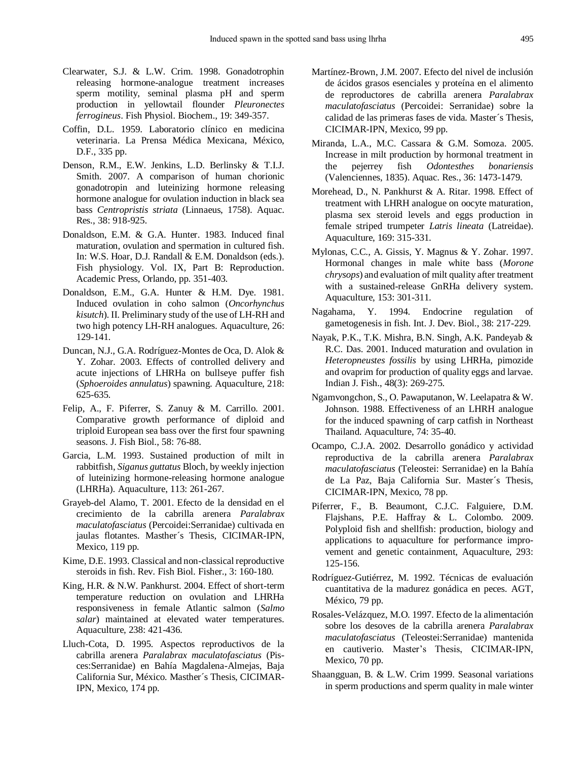- Clearwater, S.J. & L.W. Crim. 1998. Gonadotrophin releasing hormone-analogue treatment increases sperm motility, seminal plasma pH and sperm production in yellowtail flounder *Pleuronectes ferrogineus*. Fish Physiol. Biochem., 19: 349-357.
- Coffin, D.L. 1959. Laboratorio clínico en medicina veterinaria. La Prensa Médica Mexicana, México, D.F., 335 pp.
- Denson, R.M., E.W. Jenkins, L.D. Berlinsky & T.I.J. Smith. 2007. A comparison of human chorionic gonadotropin and luteinizing hormone releasing hormone analogue for ovulation induction in black sea bass *Centropristis striata* (Linnaeus, 1758). Aquac. Res., 38: 918-925.
- Donaldson, E.M. & G.A. Hunter. 1983. Induced final maturation, ovulation and spermation in cultured fish. In: W.S. Hoar, D.J. Randall & E.M. Donaldson (eds.). Fish physiology. Vol. IX, Part B: Reproduction. Academic Press, Orlando, pp. 351-403.
- Donaldson, E.M., G.A. Hunter & H.M. Dye. 1981. Induced ovulation in coho salmon (*Oncorhynchus kisutch*). II. Preliminary study of the use of LH-RH and two high potency LH-RH analogues. Aquaculture, 26: 129-141.
- Duncan, N.J., G.A. Rodríguez-Montes de Oca, D. Alok & Y. Zohar. 2003. Effects of controlled delivery and acute injections of LHRHa on bullseye puffer fish (*Sphoeroides annulatus*) spawning. Aquaculture, 218: 625-635.
- Felip, A., F. Piferrer, S. Zanuy & M. Carrillo. 2001. Comparative growth performance of diploid and triploid European sea bass over the first four spawning seasons. J. Fish Biol., 58: 76-88.
- Garcia, L.M. 1993. Sustained production of milt in rabbitfish, *Siganus guttatus* Bloch, by weekly injection of luteinizing hormone-releasing hormone analogue (LHRHa). Aquaculture, 113: 261-267.
- Grayeb-del Alamo, T. 2001. Efecto de la densidad en el crecimiento de la cabrilla arenera *Paralabrax maculatofasciatus* (Percoidei:Serranidae) cultivada en jaulas flotantes. Masther´s Thesis, CICIMAR-IPN, Mexico, 119 pp.
- Kime, D.E. 1993. Classical and non-classical reproductive steroids in fish. Rev. Fish Biol. Fisher., 3: 160-180.
- King, H.R. & N.W. Pankhurst. 2004. Effect of short-term temperature reduction on ovulation and LHRHa responsiveness in female Atlantic salmon (*Salmo salar*) maintained at elevated water temperatures. Aquaculture, 238: 421-436.
- Lluch-Cota, D. 1995. Aspectos reproductivos de la cabrilla arenera *Paralabrax maculatofasciatus* (Pisces:Serranidae) en Bahía Magdalena-Almejas, Baja California Sur, México. Masther´s Thesis, CICIMAR-IPN, Mexico, 174 pp.
- Martínez-Brown, J.M. 2007. Efecto del nivel de inclusión de ácidos grasos esenciales y proteína en el alimento de reproductores de cabrilla arenera *Paralabrax maculatofasciatus* (Percoidei: Serranidae) sobre la calidad de las primeras fases de vida. Master´s Thesis, CICIMAR-IPN, Mexico, 99 pp.
- Miranda, L.A., M.C. Cassara & G.M. Somoza. 2005. Increase in milt production by hormonal treatment in the pejerrey fish *Odontesthes bonariensis* (Valenciennes, 1835). Aquac. Res., 36: 1473-1479.
- Morehead, D., N. Pankhurst & A. Ritar. 1998. Effect of treatment with LHRH analogue on oocyte maturation, plasma sex steroid levels and eggs production in female striped trumpeter *Latris lineata* (Latreidae). Aquaculture, 169: 315-331.
- Mylonas, C.C., A. Gissis, Y. Magnus & Y. Zohar. 1997. Hormonal changes in male white bass (*Morone chrysops*) and evaluation of milt quality after treatment with a sustained-release GnRHa delivery system. Aquaculture, 153: 301-311.
- Nagahama, Y. 1994. Endocrine regulation of gametogenesis in fish. Int. J. Dev. Biol., 38: 217-229.
- Nayak, P.K., T.K. Mishra, B.N. Singh, A.K. Pandeyab & R.C. Das. 2001. Induced maturation and ovulation in *Heteropneustes fossilis* by using LHRHa, pimozide and ovaprim for production of quality eggs and larvae. Indian J. Fish., 48(3): 269-275.
- Ngamvongchon, S., O. Pawaputanon, W. Leelapatra & W. Johnson. 1988. Effectiveness of an LHRH analogue for the induced spawning of carp catfish in Northeast Thailand. Aquaculture, 74: 35-40.
- Ocampo, C.J.A. 2002. Desarrollo gonádico y actividad reproductiva de la cabrilla arenera *Paralabrax maculatofasciatus* (Teleostei: Serranidae) en la Bahía de La Paz, Baja California Sur. Master´s Thesis, CICIMAR-IPN, Mexico, 78 pp.
- Piferrer, F., B. Beaumont, C.J.C. Falguiere, D.M. Flajshans, P.E. Haffray & L. Colombo. 2009. Polyploid fish and shellfish: production, biology and applications to aquaculture for performance improvement and genetic containment, Aquaculture, 293: 125-156.
- Rodríguez-Gutiérrez, M. 1992. Técnicas de evaluación cuantitativa de la madurez gonádica en peces. AGT, México, 79 pp.
- Rosales-Velázquez, M.O. 1997. Efecto de la alimentación sobre los desoves de la cabrilla arenera *Paralabrax maculatofasciatus* (Teleostei:Serranidae) mantenida en cautiverio. Master's Thesis, CICIMAR-IPN, Mexico, 70 pp.
- Shaangguan, B. & L.W. Crim 1999. Seasonal variations in sperm productions and sperm quality in male winter